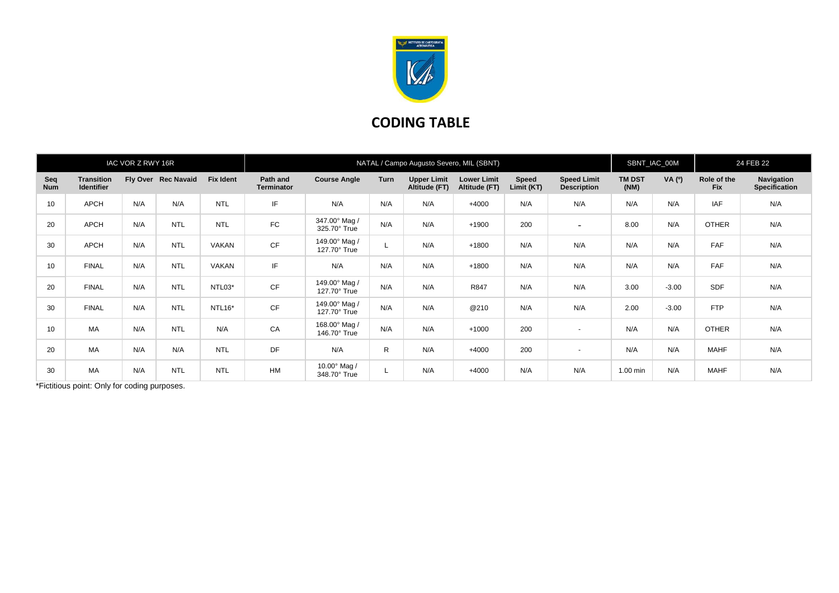

## **CODING TABLE**

| IAC VOR Z RWY 16R |                                 |     |                     |                  | NATAL / Campo Augusto Severo, MIL (SBNT) |                               |              |                                     |                                     |                     |                                          |                       | SBNT_IAC_00M |                           | 24 FEB 22                          |  |
|-------------------|---------------------------------|-----|---------------------|------------------|------------------------------------------|-------------------------------|--------------|-------------------------------------|-------------------------------------|---------------------|------------------------------------------|-----------------------|--------------|---------------------------|------------------------------------|--|
| Seq<br><b>Num</b> | <b>Transition</b><br>Identifier |     | Fly Over Rec Navaid | <b>Fix Ident</b> | Path and<br><b>Terminator</b>            | <b>Course Angle</b>           | Turn         | <b>Upper Limit</b><br>Altitude (FT) | <b>Lower Limit</b><br>Altitude (FT) | Speed<br>Limit (KT) | <b>Speed Limit</b><br><b>Description</b> | <b>TM DST</b><br>(NM) | VA (0)       | Role of the<br><b>Fix</b> | Navigation<br><b>Specification</b> |  |
| 10                | <b>APCH</b>                     | N/A | N/A                 | <b>NTL</b>       | IF                                       | N/A                           | N/A          | N/A                                 | $+4000$                             | N/A                 | N/A                                      | N/A                   | N/A          | <b>IAF</b>                | N/A                                |  |
| 20                | APCH                            | N/A | <b>NTL</b>          | <b>NTL</b>       | FC                                       | 347.00° Mag /<br>325.70° True | N/A          | N/A                                 | $+1900$                             | 200                 | $\overline{\phantom{0}}$                 | 8.00                  | N/A          | <b>OTHER</b>              | N/A                                |  |
| 30                | APCH                            | N/A | <b>NTL</b>          | <b>VAKAN</b>     | <b>CF</b>                                | 149.00° Mag /<br>127.70° True |              | N/A                                 | $+1800$                             | N/A                 | N/A                                      | N/A                   | N/A          | <b>FAF</b>                | N/A                                |  |
| 10                | <b>FINAL</b>                    | N/A | <b>NTL</b>          | <b>VAKAN</b>     | IF                                       | N/A                           | N/A          | N/A                                 | $+1800$                             | N/A                 | N/A                                      | N/A                   | N/A          | <b>FAF</b>                | N/A                                |  |
| 20                | <b>FINAL</b>                    | N/A | <b>NTL</b>          | NTL03*           | CF                                       | 149.00° Mag /<br>127.70° True | N/A          | N/A                                 | R847                                | N/A                 | N/A                                      | 3.00                  | $-3.00$      | SDF                       | N/A                                |  |
| 30                | <b>FINAL</b>                    | N/A | <b>NTL</b>          | NTL16*           | <b>CF</b>                                | 149.00° Mag /<br>127.70° True | N/A          | N/A                                 | @210                                | N/A                 | N/A                                      | 2.00                  | $-3.00$      | <b>FTP</b>                | N/A                                |  |
| 10                | <b>MA</b>                       | N/A | <b>NTL</b>          | N/A              | CA                                       | 168.00° Mag /<br>146.70° True | N/A          | N/A                                 | $+1000$                             | 200                 | $\sim$                                   | N/A                   | N/A          | <b>OTHER</b>              | N/A                                |  |
| 20                | MA                              | N/A | N/A                 | <b>NTL</b>       | <b>DF</b>                                | N/A                           | $\mathsf{R}$ | N/A                                 | $+4000$                             | 200                 | $\sim$                                   | N/A                   | N/A          | <b>MAHF</b>               | N/A                                |  |
| 30                | MA                              | N/A | <b>NTL</b>          | <b>NTL</b>       | <b>HM</b>                                | 10.00° Mag /<br>348.70° True  |              | N/A                                 | $+4000$                             | N/A                 | N/A                                      | 1.00 min              | N/A          | <b>MAHF</b>               | N/A                                |  |

\*Fictitious point: Only for coding purposes.